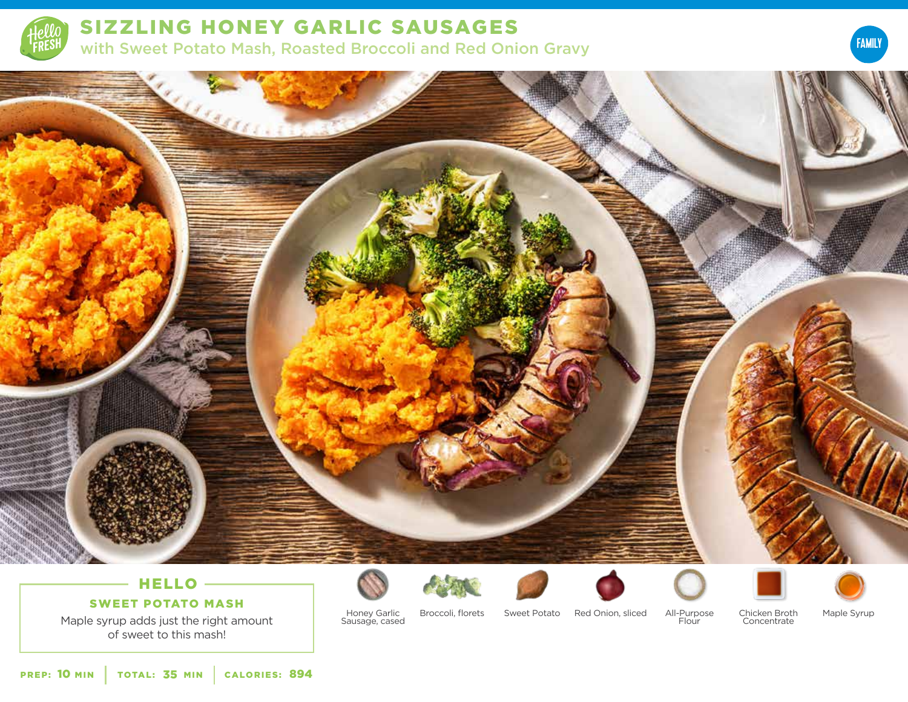





# HELLO -

## SWEET POTATO MASH

Maple syrup adds just the right amount of sweet to this mash!













Honey Garlic Sausage, cased

Broccoli, florets Sweet Potato Red Onion, sliced

All-Purpose Flour

Chicken Broth Concentrate

Maple Syrup